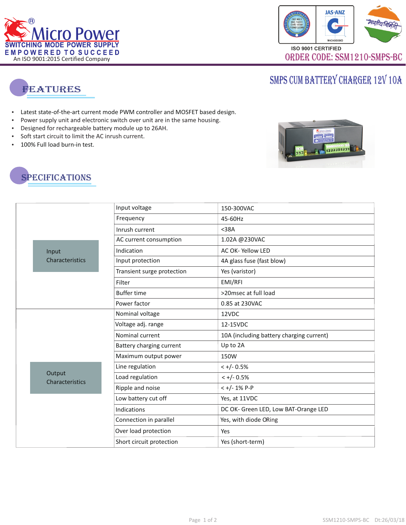



## SMPS CUM BATTERY CHARGER 12V 10A



- Latest state-of-the-art current mode PWM controller and MOSFET based design.
- Latest st<br>• Power s<br>• Designe<br>• Soft star<br>• 100% Fu Power supply unit and electronic switch over unit are in the same housing.
- . Designed for rechargeable battery module up to 26AH
- Soft start circuit to limit the AC inrush current.
- 100% Full load burn-in test.





|  | Input<br>Characteristics  | Input voltage              | 150-300VAC                               |
|--|---------------------------|----------------------------|------------------------------------------|
|  |                           | Frequency                  | 45-60Hz                                  |
|  |                           | Inrush current             | $38A$                                    |
|  |                           | AC current consumption     | 1.02A @230VAC                            |
|  |                           | Indication                 | AC OK-Yellow LED                         |
|  |                           | Input protection           | 4A glass fuse (fast blow)                |
|  |                           | Transient surge protection | Yes (varistor)                           |
|  |                           | Filter                     | EMI/RFI                                  |
|  |                           | <b>Buffer time</b>         | >20msec at full load                     |
|  |                           | Power factor               | 0.85 at 230VAC                           |
|  |                           | Nominal voltage            | 12VDC                                    |
|  |                           | Voltage adj. range         | 12-15VDC                                 |
|  |                           | Nominal current            | 10A (including battery charging current) |
|  |                           | Battery charging current   | Up to 2A                                 |
|  |                           | Maximum output power       | 150W                                     |
|  | Output<br>Characteristics | Line regulation            | $< +/- 0.5%$                             |
|  |                           | Load regulation            | $< +/- 0.5%$                             |
|  |                           | Ripple and noise           | $< +/- 1\%$ P-P                          |
|  |                           | Low battery cut off        | Yes, at 11VDC                            |
|  |                           | Indications                | DC OK- Green LED, Low BAT-Orange LED     |
|  |                           | Connection in parallel     | Yes, with diode ORing                    |
|  |                           | Over load protection       | Yes                                      |
|  |                           | Short circuit protection   | Yes (short-term)                         |
|  |                           |                            |                                          |